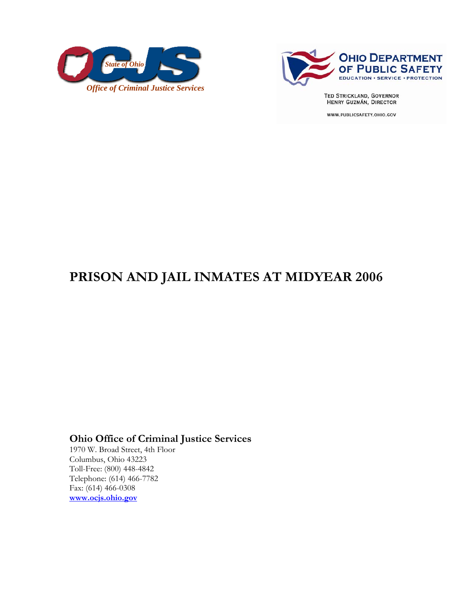



**TED STRICKLAND, GOVERNOR** HENRY GUZMÁN, DIRECTOR

WWW.PUBLICSAFETY.OHIO.GOV

# **PRISON AND JAIL INMATES AT MIDYEAR 2006**

# **Ohio Office of Criminal Justice Services**

1970 W. Broad Street, 4th Floor Columbus, Ohio 43223 Toll-Free: (800) 448-4842 Telephone: (614) 466-7782 Fax: (614) 466-0308 **www.ocjs.ohio.gov**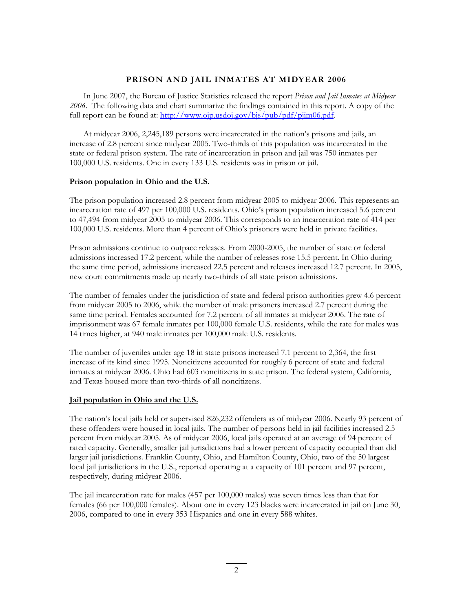## **PRISON AND JAIL INMATES AT MIDYEAR 2006**

In June 2007, the Bureau of Justice Statistics released the report *Prison and Jail Inmates at Midyear 2006*. The following data and chart summarize the findings contained in this report. A copy of the full report can be found at: http://www.ojp.usdoj.gov/bjs/pub/pdf/pjim06.pdf.

At midyear 2006, 2,245,189 persons were incarcerated in the nation's prisons and jails, an increase of 2.8 percent since midyear 2005. Two-thirds of this population was incarcerated in the state or federal prison system. The rate of incarceration in prison and jail was 750 inmates per 100,000 U.S. residents. One in every 133 U.S. residents was in prison or jail.

### **Prison population in Ohio and the U.S.**

The prison population increased 2.8 percent from midyear 2005 to midyear 2006. This represents an incarceration rate of 497 per 100,000 U.S. residents. Ohio's prison population increased 5.6 percent to 47,494 from midyear 2005 to midyear 2006. This corresponds to an incarceration rate of 414 per 100,000 U.S. residents. More than 4 percent of Ohio's prisoners were held in private facilities.

Prison admissions continue to outpace releases. From 2000-2005, the number of state or federal admissions increased 17.2 percent, while the number of releases rose 15.5 percent. In Ohio during the same time period, admissions increased 22.5 percent and releases increased 12.7 percent. In 2005, new court commitments made up nearly two-thirds of all state prison admissions.

The number of females under the jurisdiction of state and federal prison authorities grew 4.6 percent from midyear 2005 to 2006, while the number of male prisoners increased 2.7 percent during the same time period. Females accounted for 7.2 percent of all inmates at midyear 2006. The rate of imprisonment was 67 female inmates per 100,000 female U.S. residents, while the rate for males was 14 times higher, at 940 male inmates per 100,000 male U.S. residents.

The number of juveniles under age 18 in state prisons increased 7.1 percent to 2,364, the first increase of its kind since 1995. Noncitizens accounted for roughly 6 percent of state and federal inmates at midyear 2006. Ohio had 603 noncitizens in state prison. The federal system, California, and Texas housed more than two-thirds of all noncitizens.

### **Jail population in Ohio and the U.S.**

The nation's local jails held or supervised 826,232 offenders as of midyear 2006. Nearly 93 percent of these offenders were housed in local jails. The number of persons held in jail facilities increased 2.5 percent from midyear 2005. As of midyear 2006, local jails operated at an average of 94 percent of rated capacity. Generally, smaller jail jurisdictions had a lower percent of capacity occupied than did larger jail jurisdictions. Franklin County, Ohio, and Hamilton County, Ohio, two of the 50 largest local jail jurisdictions in the U.S., reported operating at a capacity of 101 percent and 97 percent, respectively, during midyear 2006.

The jail incarceration rate for males (457 per 100,000 males) was seven times less than that for females (66 per 100,000 females). About one in every 123 blacks were incarcerated in jail on June 30, 2006, compared to one in every 353 Hispanics and one in every 588 whites.